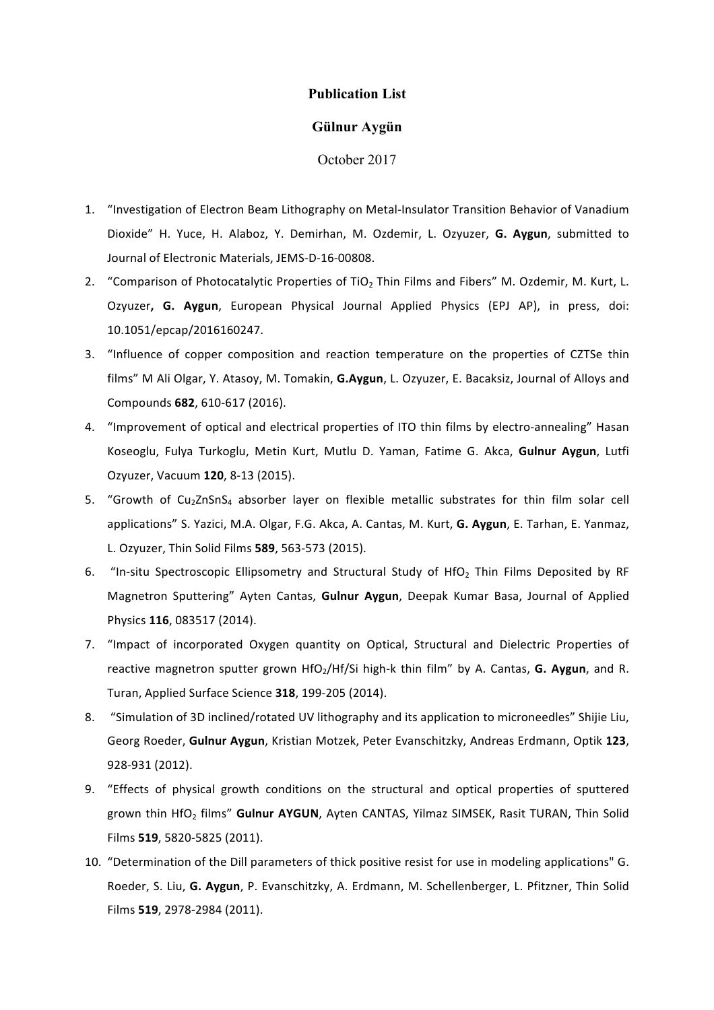# **Publication List**

## **Gülnur Aygün**

October 2017

- 1. "Investigation of Electron Beam Lithography on Metal-Insulator Transition Behavior of Vanadium Dioxide" H. Yuce, H. Alaboz, Y. Demirhan, M. Ozdemir, L. Ozyuzer, G. Aygun, submitted to Journal of Electronic Materials, JEMS-D-16-00808.
- 2. "Comparison of Photocatalytic Properties of TiO<sub>2</sub> Thin Films and Fibers" M. Ozdemir, M. Kurt, L. Ozyuzer, G. Aygun, European Physical Journal Applied Physics (EPJ AP), in press, doi: 10.1051/epcap/2016160247.
- 3. "Influence of copper composition and reaction temperature on the properties of CZTSe thin films" M Ali Olgar, Y. Atasoy, M. Tomakin, G.Aygun, L. Ozyuzer, E. Bacaksiz, Journal of Alloys and Compounds **682**, 610-617 (2016).
- 4. "Improvement of optical and electrical properties of ITO thin films by electro-annealing" Hasan Koseoglu, Fulya Turkoglu, Metin Kurt, Mutlu D. Yaman, Fatime G. Akca, Gulnur Aygun, Lutfi Ozyuzer, Vacuum **120**, 8-13 (2015).
- 5. "Growth of Cu<sub>2</sub>ZnSnS<sub>4</sub> absorber layer on flexible metallic substrates for thin film solar cell applications" S. Yazici, M.A. Olgar, F.G. Akca, A. Cantas, M. Kurt, G. Aygun, E. Tarhan, E. Yanmaz, L. Ozyuzer, Thin Solid Films **589**, 563-573 (2015).
- 6. "In-situ Spectroscopic Ellipsometry and Structural Study of HfO<sub>2</sub> Thin Films Deposited by RF Magnetron Sputtering" Ayten Cantas, **Gulnur Aygun**, Deepak Kumar Basa, Journal of Applied Physics **116**, 083517 (2014).
- 7. "Impact of incorporated Oxygen quantity on Optical, Structural and Dielectric Properties of reactive magnetron sputter grown  $HfO<sub>2</sub>/Hf/Si$  high-k thin film" by A. Cantas, **G. Aygun**, and R. Turan, Applied Surface Science **318**, 199-205 (2014).
- 8. "Simulation of 3D inclined/rotated UV lithography and its application to microneedles" Shijie Liu, Georg Roeder, Gulnur Aygun, Kristian Motzek, Peter Evanschitzky, Andreas Erdmann, Optik 123, 928-931 (2012).
- 9. "Effects of physical growth conditions on the structural and optical properties of sputtered grown thin HfO<sub>2</sub> films" **Gulnur AYGUN**, Ayten CANTAS, Yilmaz SIMSEK, Rasit TURAN, Thin Solid Films **519**, 5820-5825 (2011).
- 10. "Determination of the Dill parameters of thick positive resist for use in modeling applications" G. Roeder, S. Liu, G. Aygun, P. Evanschitzky, A. Erdmann, M. Schellenberger, L. Pfitzner, Thin Solid Films **519**, 2978-2984 (2011).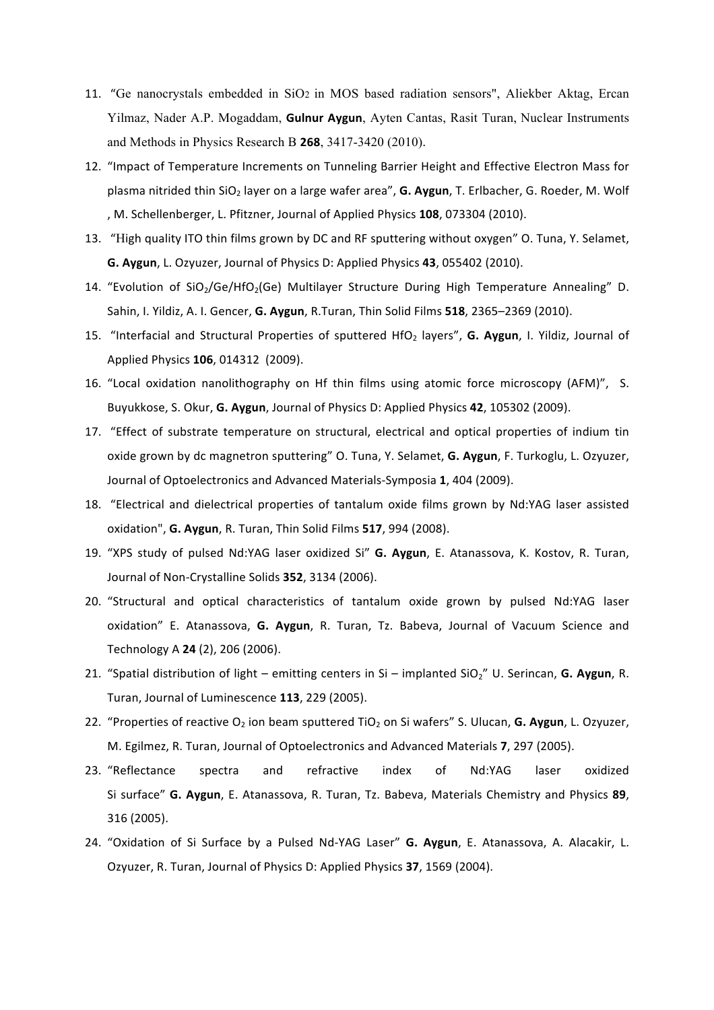- 11. "Ge nanocrystals embedded in SiO2 in MOS based radiation sensors", Aliekber Aktag, Ercan Yilmaz, Nader A.P. Mogaddam, **Gulnur Aygun**, Ayten Cantas, Rasit Turan, Nuclear Instruments and Methods in Physics Research B **268**, 3417-3420 (2010).
- 12. "Impact of Temperature Increments on Tunneling Barrier Height and Effective Electron Mass for plasma nitrided thin SiO<sub>2</sub> layer on a large wafer area", G. Aygun, T. Erlbacher, G. Roeder, M. Wolf , M. Schellenberger, L. Pfitzner, Journal of Applied Physics 108, 073304 (2010).
- 13. "High quality ITO thin films grown by DC and RF sputtering without oxygen" O. Tuna, Y. Selamet, **G. Aygun**, L. Ozyuzer, Journal of Physics D: Applied Physics 43, 055402 (2010).
- 14. "Evolution of  $SiO_2/Ge/HfO_2(Ge)$  Multilayer Structure During High Temperature Annealing" D. Sahin, I. Yildiz, A. I. Gencer, G. Aygun, R.Turan, Thin Solid Films **518**, 2365–2369 (2010).
- 15. "Interfacial and Structural Properties of sputtered HfO<sub>2</sub> layers", **G. Aygun**, I. Yildiz, Journal of Applied Physics **106**, 014312 (2009).
- 16. "Local oxidation nanolithography on Hf thin films using atomic force microscopy (AFM)", S. Buyukkose, S. Okur, G. Aygun, Journal of Physics D: Applied Physics 42, 105302 (2009).
- 17. "Effect of substrate temperature on structural, electrical and optical properties of indium tin oxide grown by dc magnetron sputtering" O. Tuna, Y. Selamet, G. Aygun, F. Turkoglu, L. Ozyuzer, Journal of Optoelectronics and Advanced Materials-Symposia 1, 404 (2009).
- 18. "Electrical and dielectrical properties of tantalum oxide films grown by Nd:YAG laser assisted oxidation", G. Aygun, R. Turan, Thin Solid Films 517, 994 (2008).
- 19. "XPS study of pulsed Nd:YAG laser oxidized Si" G. Aygun, E. Atanassova, K. Kostov, R. Turan, Journal of Non-Crystalline Solids 352, 3134 (2006).
- 20. "Structural and optical characteristics of tantalum oxide grown by pulsed Nd:YAG laser oxidation" E. Atanassova, G. Aygun, R. Turan, Tz. Babeva, Journal of Vacuum Science and Technology A **24** (2), 206 (2006).
- 21. "Spatial distribution of light emitting centers in Si implanted  $SiO<sub>2</sub>$ " U. Serincan, **G. Aygun**, R. Turan, Journal of Luminescence 113, 229 (2005).
- 22. "Properties of reactive O<sub>2</sub> ion beam sputtered TiO<sub>2</sub> on Si wafers" S. Ulucan, G. Aygun, L. Ozyuzer, M. Egilmez, R. Turan, Journal of Optoelectronics and Advanced Materials 7, 297 (2005).
- 23. "Reflectance spectra and refractive index of Nd:YAG laser oxidized Si surface" **G. Aygun**, E. Atanassova, R. Turan, Tz. Babeva, Materials Chemistry and Physics 89, 316 (2005).
- 24. "Oxidation of Si Surface by a Pulsed Nd-YAG Laser" G. Aygun, E. Atanassova, A. Alacakir, L. Ozyuzer, R. Turan, Journal of Physics D: Applied Physics 37, 1569 (2004).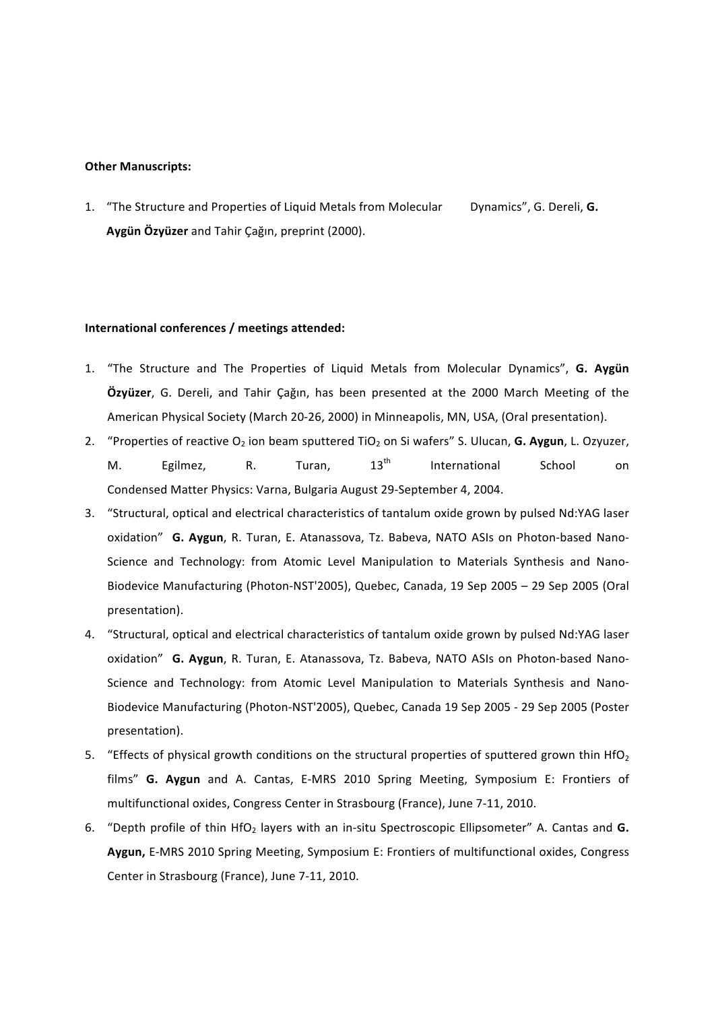#### **Other Manuscripts:**

1. "The Structure and Properties of Liquid Metals from Molecular Dynamics", G. Dereli, G. Aygün Özyüzer and Tahir Çağın, preprint (2000).

### **International conferences / meetings attended:**

- 1. "The Structure and The Properties of Liquid Metals from Molecular Dynamics", G. Aygün  $Oz$ yüzer, G. Dereli, and Tahir Çağın, has been presented at the 2000 March Meeting of the American Physical Society (March 20-26, 2000) in Minneapolis, MN, USA, (Oral presentation).
- 2. "Properties of reactive O<sub>2</sub> ion beam sputtered TiO<sub>2</sub> on Si wafers" S. Ulucan, **G. Aygun**, L. Ozyuzer, M. Egilmez, R. Turan, 13<sup>th</sup> International School on Condensed Matter Physics: Varna, Bulgaria August 29-September 4, 2004.
- 3. "Structural, optical and electrical characteristics of tantalum oxide grown by pulsed Nd:YAG laser oxidation" **G. Aygun**, R. Turan, E. Atanassova, Tz. Babeva, NATO ASIs on Photon-based Nano-Science and Technology: from Atomic Level Manipulation to Materials Synthesis and Nano-Biodevice Manufacturing (Photon-NST'2005), Quebec, Canada, 19 Sep 2005 – 29 Sep 2005 (Oral presentation).
- 4. "Structural, optical and electrical characteristics of tantalum oxide grown by pulsed Nd:YAG laser oxidation" **G. Aygun**, R. Turan, E. Atanassova, Tz. Babeva, NATO ASIs on Photon-based Nano-Science and Technology: from Atomic Level Manipulation to Materials Synthesis and Nano-Biodevice Manufacturing (Photon-NST'2005), Quebec, Canada 19 Sep 2005 - 29 Sep 2005 (Poster presentation).
- 5. "Effects of physical growth conditions on the structural properties of sputtered grown thin HfO<sub>2</sub> films" G. Aygun and A. Cantas, E-MRS 2010 Spring Meeting, Symposium E: Frontiers of multifunctional oxides, Congress Center in Strasbourg (France), June 7-11, 2010.
- 6. "Depth profile of thin HfO<sub>2</sub> layers with an in-situ Spectroscopic Ellipsometer" A. Cantas and G. Aygun, E-MRS 2010 Spring Meeting, Symposium E: Frontiers of multifunctional oxides, Congress Center in Strasbourg (France), June 7-11, 2010.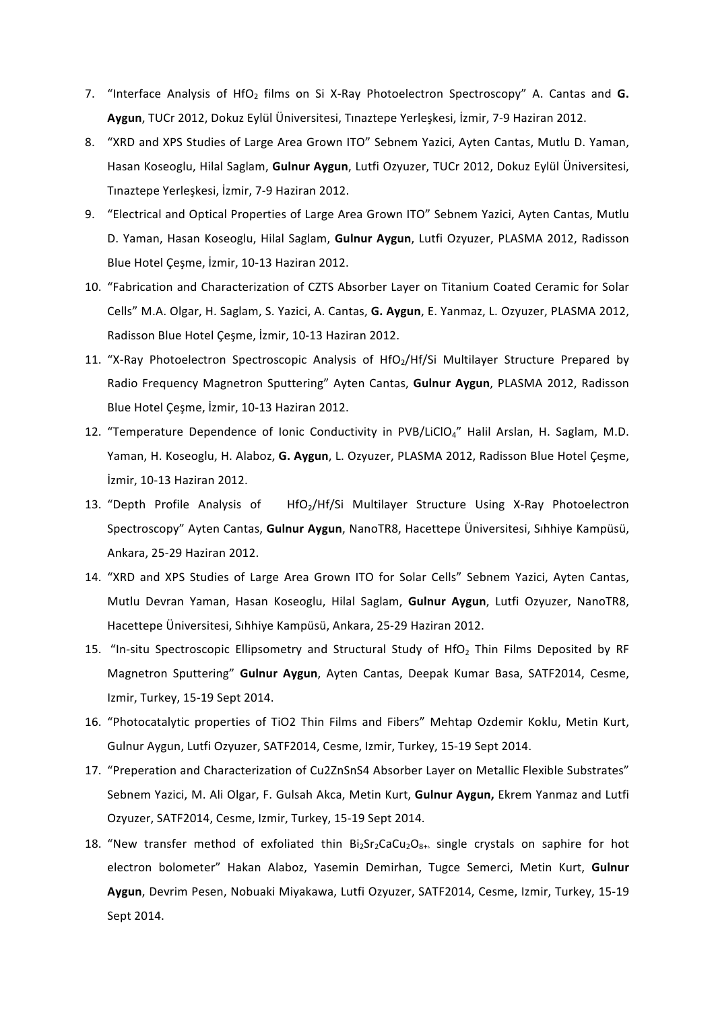- 7. "Interface Analysis of HfO<sub>2</sub> films on Si X-Ray Photoelectron Spectroscopy" A. Cantas and **G.** Aygun, TUCr 2012, Dokuz Eylül Üniversitesi, Tınaztepe Yerleşkesi, İzmir, 7-9 Haziran 2012.
- 8. "XRD and XPS Studies of Large Area Grown ITO" Sebnem Yazici, Ayten Cantas, Mutlu D. Yaman, Hasan Koseoglu, Hilal Saglam, Gulnur Aygun, Lutfi Ozyuzer, TUCr 2012, Dokuz Eylül Üniversitesi, Tınaztepe Yerleşkesi, İzmir, 7-9 Haziran 2012.
- 9. "Electrical and Optical Properties of Large Area Grown ITO" Sebnem Yazici, Ayten Cantas, Mutlu D. Yaman, Hasan Koseoglu, Hilal Saglam, Gulnur Aygun, Lutfi Ozyuzer, PLASMA 2012, Radisson Blue Hotel Cesme, İzmir, 10-13 Haziran 2012.
- 10. "Fabrication and Characterization of CZTS Absorber Layer on Titanium Coated Ceramic for Solar Cells" M.A. Olgar, H. Saglam, S. Yazici, A. Cantas, G. Aygun, E. Yanmaz, L. Ozyuzer, PLASMA 2012, Radisson Blue Hotel Cesme, İzmir, 10-13 Haziran 2012.
- 11. "X-Ray Photoelectron Spectroscopic Analysis of HfO<sub>2</sub>/Hf/Si Multilayer Structure Prepared by Radio Frequency Magnetron Sputtering" Ayten Cantas, **Gulnur Aygun**, PLASMA 2012, Radisson Blue Hotel Çeşme, İzmir, 10-13 Haziran 2012.
- 12. "Temperature Dependence of Ionic Conductivity in PVB/LiClO<sub>4</sub>" Halil Arslan, H. Saglam, M.D. Yaman, H. Koseoglu, H. Alaboz, G. Aygun, L. Ozyuzer, PLASMA 2012, Radisson Blue Hotel Çeşme, İzmir, 10-13 Haziran 2012.
- 13. "Depth Profile Analysis of HfO<sub>2</sub>/Hf/Si Multilayer Structure Using X-Ray Photoelectron Spectroscopy" Ayten Cantas, Gulnur Aygun, NanoTR8, Hacettepe Üniversitesi, Sıhhiye Kampüsü, Ankara, 25-29 Haziran 2012.
- 14. "XRD and XPS Studies of Large Area Grown ITO for Solar Cells" Sebnem Yazici, Ayten Cantas, Mutlu Devran Yaman, Hasan Koseoglu, Hilal Saglam, Gulnur Aygun, Lutfi Ozyuzer, NanoTR8, Hacettepe Üniversitesi, Sıhhiye Kampüsü, Ankara, 25-29 Haziran 2012.
- 15. "In-situ Spectroscopic Ellipsometry and Structural Study of HfO<sub>2</sub> Thin Films Deposited by RF Magnetron Sputtering" Gulnur Aygun, Ayten Cantas, Deepak Kumar Basa, SATF2014, Cesme, Izmir, Turkey, 15-19 Sept 2014.
- 16. "Photocatalytic properties of TiO2 Thin Films and Fibers" Mehtap Ozdemir Koklu, Metin Kurt, Gulnur Aygun, Lutfi Ozyuzer, SATF2014, Cesme, Izmir, Turkey, 15-19 Sept 2014.
- 17. "Preperation and Characterization of Cu2ZnSnS4 Absorber Layer on Metallic Flexible Substrates" Sebnem Yazici, M. Ali Olgar, F. Gulsah Akca, Metin Kurt, **Gulnur Aygun,** Ekrem Yanmaz and Lutfi Ozyuzer, SATF2014, Cesme, Izmir, Turkey, 15-19 Sept 2014.
- 18. "New transfer method of exfoliated thin  $Bi_2Sr_2CaCu_2O_{8+6}$  single crystals on saphire for hot electron bolometer" Hakan Alaboz, Yasemin Demirhan, Tugce Semerci, Metin Kurt, Gulnur Aygun, Devrim Pesen, Nobuaki Miyakawa, Lutfi Ozyuzer, SATF2014, Cesme, Izmir, Turkey, 15-19 Sept 2014.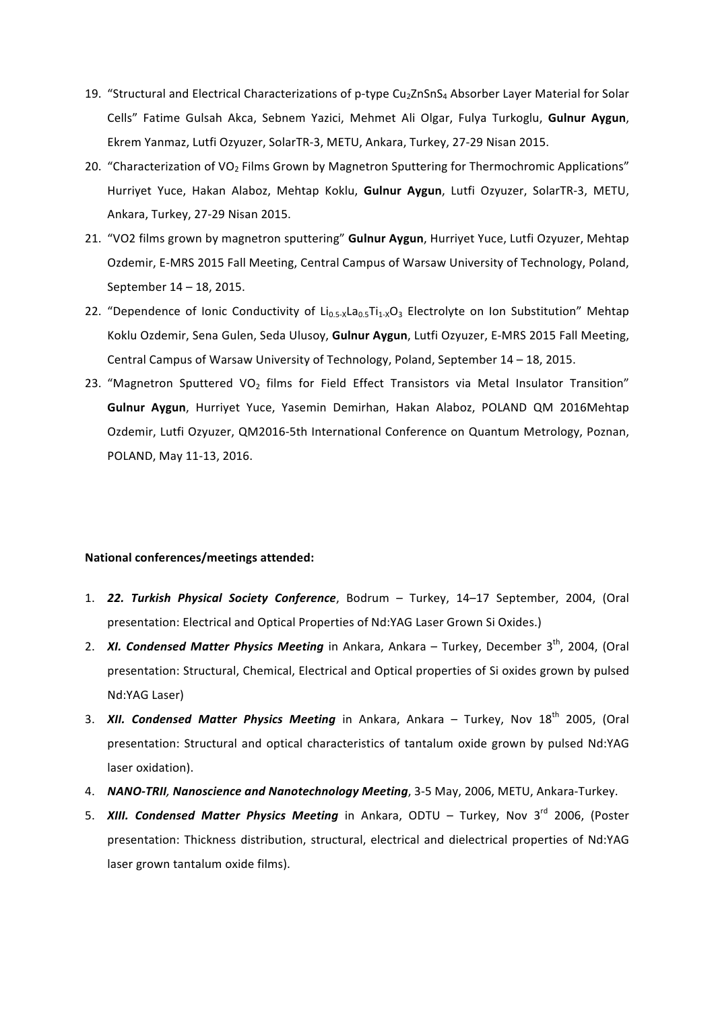- 19. "Structural and Electrical Characterizations of p-type Cu<sub>2</sub>ZnSnS<sub>4</sub> Absorber Layer Material for Solar Cells" Fatime Gulsah Akca, Sebnem Yazici, Mehmet Ali Olgar, Fulya Turkoglu, Gulnur Aygun, Ekrem Yanmaz, Lutfi Ozyuzer, SolarTR-3, METU, Ankara, Turkey, 27-29 Nisan 2015.
- 20. "Characterization of VO<sub>2</sub> Films Grown by Magnetron Sputtering for Thermochromic Applications" Hurriyet Yuce, Hakan Alaboz, Mehtap Koklu, Gulnur Aygun, Lutfi Ozyuzer, SolarTR-3, METU, Ankara, Turkey, 27-29 Nisan 2015.
- 21. "VO2 films grown by magnetron sputtering" **Gulnur Aygun**, Hurriyet Yuce, Lutfi Ozyuzer, Mehtap Ozdemir, E-MRS 2015 Fall Meeting, Central Campus of Warsaw University of Technology, Poland, September 14 - 18, 2015.
- 22. "Dependence of Ionic Conductivity of  $Li_{0.5-x}La_{0.5}Ti_{1-x}O_3$  Electrolyte on Ion Substitution" Mehtap Koklu Ozdemir, Sena Gulen, Seda Ulusoy, Gulnur Aygun, Lutfi Ozyuzer, E-MRS 2015 Fall Meeting, Central Campus of Warsaw University of Technology, Poland, September 14 - 18, 2015.
- 23. "Magnetron Sputtered VO<sub>2</sub> films for Field Effect Transistors via Metal Insulator Transition" **Gulnur Aygun**, Hurriyet Yuce, Yasemin Demirhan, Hakan Alaboz, POLAND QM 2016Mehtap Ozdemir, Lutfi Ozyuzer, QM2016-5th International Conference on Quantum Metrology, Poznan, POLAND, May 11-13, 2016.

## **National conferences/meetings attended:**

- 1. **22. Turkish Physical Society Conference**, Bodrum Turkey, 14–17 September, 2004, (Oral presentation: Electrical and Optical Properties of Nd:YAG Laser Grown Si Oxides.)
- 2. *XI. Condensed Matter Physics Meeting* in Ankara, Ankara Turkey, December 3<sup>th</sup>, 2004, (Oral presentation: Structural, Chemical, Electrical and Optical properties of Si oxides grown by pulsed Nd:YAG Laser)
- 3. **XII. Condensed Matter Physics Meeting** in Ankara, Ankara Turkey, Nov 18<sup>th</sup> 2005, (Oral presentation: Structural and optical characteristics of tantalum oxide grown by pulsed Nd:YAG laser oxidation).
- 4. **NANO-TRII, Nanoscience and Nanotechnology Meeting**, 3-5 May, 2006, METU, Ankara-Turkey.
- 5. **XIII. Condensed Matter Physics Meeting** in Ankara, ODTU Turkey, Nov 3<sup>rd</sup> 2006, (Poster presentation: Thickness distribution, structural, electrical and dielectrical properties of Nd:YAG laser grown tantalum oxide films).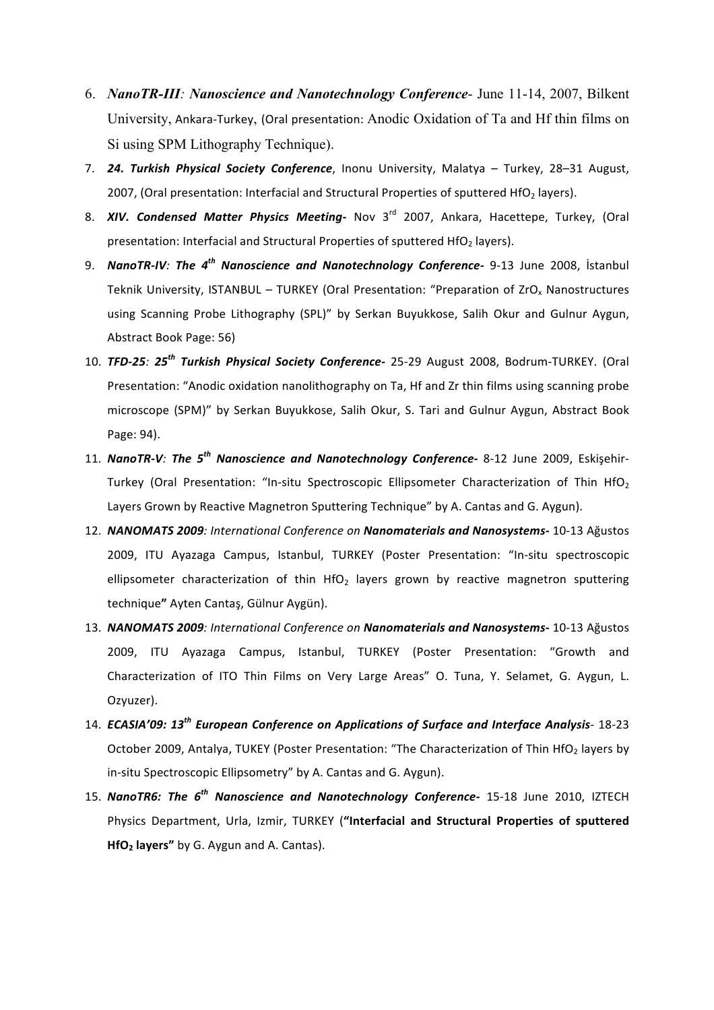- 6. *NanoTR-III: Nanoscience and Nanotechnology Conference* June 11-14, 2007, Bilkent University, Ankara-Turkey, (Oral presentation: Anodic Oxidation of Ta and Hf thin films on Si using SPM Lithography Technique).
- 7. **24. Turkish Physical Society Conference**, Inonu University, Malatya Turkey, 28–31 August, 2007, (Oral presentation: Interfacial and Structural Properties of sputtered HfO<sub>2</sub> layers).
- 8. **XIV. Condensed Matter Physics Meeting** Nov 3<sup>rd</sup> 2007, Ankara, Hacettepe, Turkey, (Oral presentation: Interfacial and Structural Properties of sputtered  $HfO<sub>2</sub>$  layers).
- 9. **NanoTR-IV**: The 4<sup>th</sup> Nanoscience and Nanotechnology Conference- 9-13 June 2008, İstanbul Teknik University, ISTANBUL – TURKEY (Oral Presentation: "Preparation of  $ZrO<sub>x</sub>$  Nanostructures using Scanning Probe Lithography (SPL)" by Serkan Buyukkose, Salih Okur and Gulnur Aygun, Abstract Book Page: 56)
- 10. **TFD-25***:* 25<sup>th</sup> Turkish Physical Society Conference- 25-29 August 2008, Bodrum-TURKEY. (Oral Presentation: "Anodic oxidation nanolithography on Ta, Hf and Zr thin films using scanning probe microscope (SPM)" by Serkan Buyukkose, Salih Okur, S. Tari and Gulnur Aygun, Abstract Book Page: 94).
- 11. *NanoTR-V:* The 5<sup>th</sup> Nanoscience and Nanotechnology Conference- 8-12 June 2009, Eskisehir-Turkey (Oral Presentation: "In-situ Spectroscopic Ellipsometer Characterization of Thin HfO<sub>2</sub> Layers Grown by Reactive Magnetron Sputtering Technique" by A. Cantas and G. Aygun).
- 12. NANOMATS 2009: International Conference on Nanomaterials and Nanosystems- 10-13 Ağustos 2009, ITU Ayazaga Campus, Istanbul, TURKEY (Poster Presentation: "In-situ spectroscopic ellipsometer characterization of thin HfO<sub>2</sub> layers grown by reactive magnetron sputtering technique**"** Ayten Cantaş, Gülnur Aygün).
- 13. NANOMATS 2009: International Conference on Nanomaterials and Nanosystems- 10-13 Ağustos 2009, ITU Ayazaga Campus, Istanbul, TURKEY (Poster Presentation: "Growth and Characterization of ITO Thin Films on Very Large Areas" O. Tuna, Y. Selamet, G. Aygun, L. Ozyuzer).
- 14. *ECASIA'09:* 13<sup>th</sup> *European Conference on Applications of Surface and Interface Analysis* 18-23 October 2009, Antalya, TUKEY (Poster Presentation: "The Characterization of Thin HfO<sub>2</sub> layers by in-situ Spectroscopic Ellipsometry" by A. Cantas and G. Aygun).
- 15. *NanoTR6: The 6<sup>th</sup> Nanoscience and Nanotechnology Conference-* 15-18 June 2010, IZTECH Physics Department, Urla, Izmir, TURKEY ("Interfacial and Structural Properties of sputtered **HfO<sub>2</sub>** layers" by G. Aygun and A. Cantas).